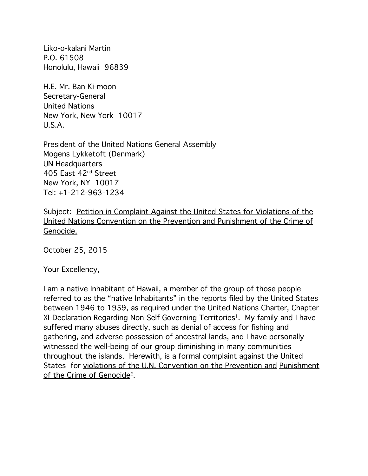Liko-o-kalani Martin P.O. 61508 Honolulu, Hawaii 96839

H.E. Mr. Ban Ki-moon Secretary-General United Nations New York, New York 10017 U.S.A.

President of the United Nations General Assembly Mogens Lykketoft (Denmark) UN Headquarters 405 East 42nd Street New York, NY 10017 Tel: +1-212-963-1234

Subject: Petition in Complaint Against the United States for Violations of the United Nations Convention on the Prevention and Punishment of the Crime of Genocide.

October 25, 2015

Your Excellency,

I am a native Inhabitant of Hawaii, a member of the group of those people referred to as the "native Inhabitants" in the reports filed by the United States between 1946 to 1959, as required under the United Nations Charter, Chapter XI-Declaration Regarding Non-Self Governing Territories<sup>1</sup>. My family and I have suffered many abuses directly, such as denial of access for fishing and gathering, and adverse possession of ancestral lands, and I have personally witnessed the well-being of our group diminishing in many communities throughout the islands. Herewith, is a formal complaint against the United States for violations of the U.N. Convention on the Prevention and Punishment of the Crime of Genocide2.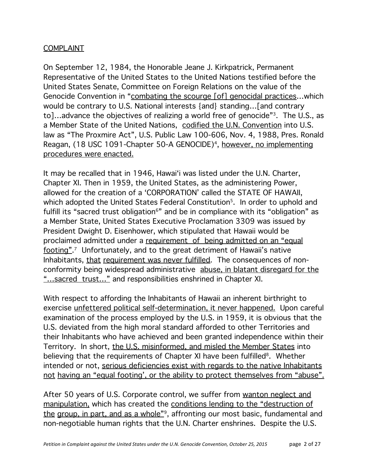## **COMPLAINT**

On September 12, 1984, the Honorable Jeane J. Kirkpatrick, Permanent Representative of the United States to the United Nations testified before the United States Senate, Committee on Foreign Relations on the value of the Genocide Convention in "combating the scourge [of] genocidal practices…which would be contrary to U.S. National interests {and} standing…[and contrary to]…advance the objectives of realizing a world free of genocide"3. The U.S., as a Member State of the United Nations, codified the U.N. Convention into U.S. law as "The Proxmire Act", U.S. Public Law 100-606, Nov. 4, 1988, Pres. Ronald Reagan, (18 USC 1091-Chapter 50-A GENOCIDE)<sup>4</sup>, however, no implementing procedures were enacted.

It may be recalled that in 1946, Hawaiʻi was listed under the U.N. Charter, Chapter XI. Then in 1959, the United States, as the administering Power, allowed for the creation of a 'CORPORATION' called the STATE OF HAWAII, which adopted the United States Federal Constitution<sup>5</sup>. In order to uphold and fulfill its "sacred trust obligation<sup>6</sup>" and be in compliance with its "obligation" as a Member State, United States Executive Proclamation 3309 was issued by President Dwight D. Eisenhower, which stipulated that Hawaii would be proclaimed admitted under a requirement of being admitted on an "equal footing". 7 Unfortunately, and to the great detriment of Hawaii's native Inhabitants, that requirement was never fulfilled. The consequences of nonconformity being widespread administrative abuse, in blatant disregard for the "...sacred trust..." and responsibilities enshrined in Chapter XI.

With respect to affording the Inhabitants of Hawaii an inherent birthright to exercise unfettered political self-determination, it never happened. Upon careful examination of the process employed by the U.S. in 1959, it is obvious that the U.S. deviated from the high moral standard afforded to other Territories and their Inhabitants who have achieved and been granted independence within their Territory. In short, the U.S. misinformed, and misled the Member States into believing that the requirements of Chapter XI have been fulfilled<sup>8</sup>. Whether intended or not, serious deficiencies exist with regards to the native Inhabitants not having an "equal footing', or the ability to protect themselves from "abuse".

After 50 years of U.S. Corporate control, we suffer from wanton neglect and manipulation, which has created the conditions lending to the "destruction of the group, in part, and as a whole"<sup>9</sup>, affronting our most basic, fundamental and non-negotiable human rights that the U.N. Charter enshrines. Despite the U.S.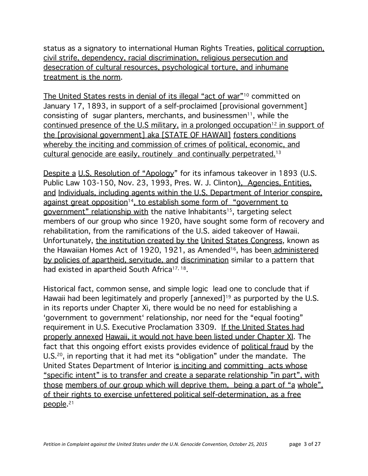status as a signatory to international Human Rights Treaties, political corruption, civil strife, dependency, racial discrimination, religious persecution and desecration of cultural resources, psychological torture, and inhumane treatment is the norm.

The United States rests in denial of its illegal "act of war"10 committed on January 17, 1893, in support of a self-proclaimed [provisional government] consisting of sugar planters, merchants, and businessmen<sup>11</sup>, while the continued presence of the U.S military, in a prolonged occupation<sup>12</sup> in support of the [provisional government] aka [STATE OF HAWAII] fosters conditions whereby the inciting and commission of crimes of political, economic, and cultural genocide are easily, routinely and continually perpetrated.<sup>13</sup>

Despite a U.S. Resolution of "Apology" for its infamous takeover in 1893 (U.S. Public Law 103-150, Nov. 23, 1993, Pres. W. J. Clinton), Agencies, Entities, and Individuals, including agents within the U.S. Department of Interior conspire, against great opposition<sup>14</sup>, to establish some form of "government to government" relationship with the native Inhabitants<sup>15</sup>, targeting select members of our group who since 1920, have sought some form of recovery and rehabilitation, from the ramifications of the U.S. aided takeover of Hawaii. Unfortunately, the institution created by the United States Congress, known as the Hawaiian Homes Act of 1920, 1921, as Amended<sup>16</sup>, has been administered by policies of apartheid, servitude, and discrimination similar to a pattern that had existed in apartheid South Africa<sup>17, 18</sup>.

Historical fact, common sense, and simple logic lead one to conclude that if Hawaii had been legitimately and properly [annexed]<sup>19</sup> as purported by the U.S. in its reports under Chapter Xi, there would be no need for establishing a 'government to governmentʻ relationship, nor need for the "equal footing" requirement in U.S. Executive Proclamation 3309. If the United States had properly annexed Hawaii, it would not have been listed under Chapter XI. The fact that this ongoing effort exists provides evidence of political fraud by the U.S.20, in reporting that it had met its "obligation" under the mandate. The United States Department of Interior is inciting and committing acts whose "specific intent" is to transfer and create a separate relationship "in part", with those members of our group which will deprive them, being a part of "a whole", of their rights to exercise unfettered political self-determination, as a free people. 21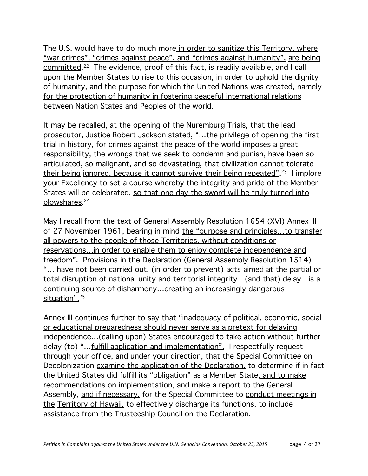The U.S. would have to do much more in order to sanitize this Territory, where "war crimes", "crimes against peace", and "crimes against humanity", are being committed. 22 The evidence, proof of this fact, is readily available, and I call upon the Member States to rise to this occasion, in order to uphold the dignity of humanity, and the purpose for which the United Nations was created, namely for the protection of humanity in fostering peaceful international relations between Nation States and Peoples of the world.

It may be recalled, at the opening of the Nuremburg Trials, that the lead prosecutor, Justice Robert Jackson stated, "...the privilege of opening the first trial in history, for crimes against the peace of the world imposes a great responsibility, the wrongs that we seek to condemn and punish, have been so articulated, so malignant, and so devastating, that civilization cannot tolerate their being ignored, because it cannot survive their being repeated". 23 I implore your Excellency to set a course whereby the integrity and pride of the Member States will be celebrated, so that one day the sword will be truly turned into plowshares. 24

May I recall from the text of General Assembly Resolution 1654 (XVI) Annex III of 27 November 1961, bearing in mind the "purpose and principles…to transfer all powers to the people of those Territories, without conditions or reservations…in order to enable them to enjoy complete independence and freedom". Provisions in the Declaration (General Assembly Resolution 1514) "… have not been carried out, (in order to prevent) acts aimed at the partial or total disruption of national unity and territorial integrity…(and that) delay…is a continuing source of disharmony…creating an increasingly dangerous situation".<sup>25</sup>

Annex III continues further to say that "inadequacy of political, economic, social or educational preparedness should never serve as a pretext for delaying independence…(calling upon) States encouraged to take action without further delay (to) "…fulfill application and implementation". I respectfully request through your office, and under your direction, that the Special Committee on Decolonization examine the application of the Declaration, to determine if in fact the United States did fulfill its "obligation" as a Member State, and to make recommendations on implementation, and make a report to the General Assembly, and if necessary, for the Special Committee to conduct meetings in the Territory of Hawaii, to effectively discharge its functions, to include assistance from the Trusteeship Council on the Declaration.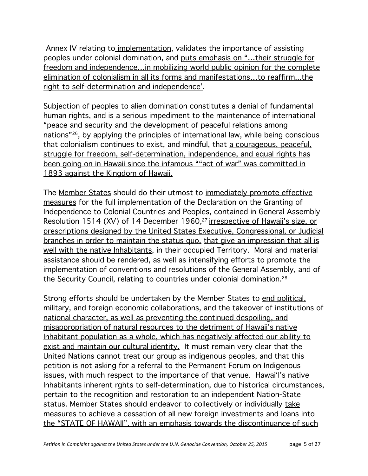Annex IV relating to implementation, validates the importance of assisting peoples under colonial domination, and puts emphasis on "…their struggle for freedom and independence…in mobilizing world public opinion for the complete elimination of colonialism in all its forms and manifestations…to reaffirm...the right to self-determination and independence'.

Subjection of peoples to alien domination constitutes a denial of fundamental human rights, and is a serious impediment to the maintenance of international "peace and security and the development of peaceful relations among nations"26, by applying the principles of international law, while being conscious that colonialism continues to exist, and mindful, that a courageous, peaceful, struggle for freedom, self-determination, independence, and equal rights has been going on in Hawaii since the infamous ""act of war" was committed in 1893 against the Kingdom of Hawaii.

The Member States should do their utmost to immediately promote effective measures for the full implementation of the Declaration on the Granting of Independence to Colonial Countries and Peoples, contained in General Assembly Resolution 1514 (XV) of 14 December 1960,<sup>27</sup> irrespective of Hawaii's size, or prescriptions designed by the United States Executive, Congressional, or Judicial branches in order to maintain the status quo, that give an impression that all is well with the native Inhabitants, in their occupied Territory. Moral and material assistance should be rendered, as well as intensifying efforts to promote the implementation of conventions and resolutions of the General Assembly, and of the Security Council, relating to countries under colonial domination.28

Strong efforts should be undertaken by the Member States to end political, military, and foreign economic collaborations, and the takeover of institutions of national character, as well as preventing the continued despoiling, and misappropriation of natural resources to the detriment of Hawaii's native Inhabitant population as a whole, which has negatively affected our ability to exist and maintain our cultural identity. It must remain very clear that the United Nations cannot treat our group as indigenous peoples, and that this petition is not asking for a referral to the Permanent Forum on Indigenous issues, with much respect to the importance of that venue. HawaiʻI's native Inhabitants inherent rghts to self-determination, due to historical circumstances, pertain to the recognition and restoration to an independent Nation-State status. Member States should endeavor to collectively or individually take measures to achieve a cessation of all new foreign investments and loans into the "STATE OF HAWAII", with an emphasis towards the discontinuance of such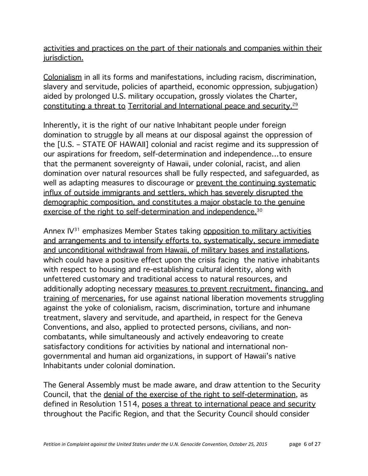activities and practices on the part of their nationals and companies within their jurisdiction.

Colonialism in all its forms and manifestations, including racism, discrimination, slavery and servitude, policies of apartheid, economic oppression, subjugation) aided by prolonged U.S. military occupation, grossly violates the Charter, constituting a threat to Territorial and International peace and security.29

Inherently, it is the right of our native Inhabitant people under foreign domination to struggle by all means at our disposal against the oppression of the [U.S. – STATE OF HAWAII] colonial and racist regime and its suppression of our aspirations for freedom, self-determination and independence…to ensure that the permanent sovereignty of Hawaii, under colonial, racist, and alien domination over natural resources shall be fully respected, and safeguarded, as well as adapting measures to discourage or prevent the continuing systematic influx of outside immigrants and settlers, which has severely disrupted the demographic composition, and constitutes a major obstacle to the genuine exercise of the right to self-determination and independence.30

Annex IV<sup>31</sup> emphasizes Member States taking opposition to military activities and arrangements and to intensify efforts to, systematically, secure immediate and unconditional withdrawal from Hawaii, of military bases and installations, which could have a positive effect upon the crisis facing the native inhabitants with respect to housing and re-establishing cultural identity, along with unfettered customary and traditional access to natural resources, and additionally adopting necessary measures to prevent recruitment, financing, and training of mercenaries, for use against national liberation movements struggling against the yoke of colonialism, racism, discrimination, torture and inhumane treatment, slavery and servitude, and apartheid, in respect for the Geneva Conventions, and also, applied to protected persons, civilians, and noncombatants, while simultaneously and actively endeavoring to create satisfactory conditions for activities by national and international nongovernmental and human aid organizations, in support of Hawaii's native Inhabitants under colonial domination.

The General Assembly must be made aware, and draw attention to the Security Council, that the denial of the exercise of the right to self-determination, as defined in Resolution 1514, poses a threat to international peace and security throughout the Pacific Region, and that the Security Council should consider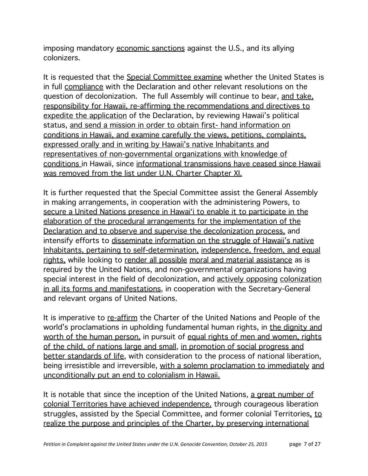imposing mandatory economic sanctions against the U.S., and its allying colonizers.

It is requested that the Special Committee examine whether the United States is in full compliance with the Declaration and other relevant resolutions on the question of decolonization. The full Assembly will continue to bear, and take, responsibility for Hawaii, re-affirming the recommendations and directives to expedite the application of the Declaration, by reviewing Hawaii's political status, and send a mission in order to obtain first- hand information on conditions in Hawaii, and examine carefully the views, petitions, complaints, expressed orally and in writing by Hawaii's native Inhabitants and representatives of non-governmental organizations with knowledge of conditions in Hawaii, since informational transmissions have ceased since Hawaii was removed from the list under U.N. Charter Chapter XI.

It is further requested that the Special Committee assist the General Assembly in making arrangements, in cooperation with the administering Powers, to secure a United Nations presence in Hawaiʻi to enable it to participate in the elaboration of the procedural arrangements for the implementation of the Declaration and to observe and supervise the decolonization process, and intensify efforts to disseminate information on the struggle of Hawaii's native Inhabitants, pertaining to self-determination, independence, freedom, and equal rights, while looking to render all possible moral and material assistance as is required by the United Nations, and non-governmental organizations having special interest in the field of decolonization, and actively opposing colonization in all its forms and manifestations, in cooperation with the Secretary-General and relevant organs of United Nations.

It is imperative to re-affirm the Charter of the United Nations and People of the world's proclamations in upholding fundamental human rights, in the dignity and worth of the human person, in pursuit of equal rights of men and women, rights of the child, of nations large and small, in promotion of social progress and better standards of life, with consideration to the process of national liberation, being irresistible and irreversible, with a solemn proclamation to immediately and unconditionally put an end to colonialism in Hawaii.

It is notable that since the inception of the United Nations, a great number of colonial Territories have achieved independence, through courageous liberation struggles, assisted by the Special Committee, and former colonial Territories, to realize the purpose and principles of the Charter, by preserving international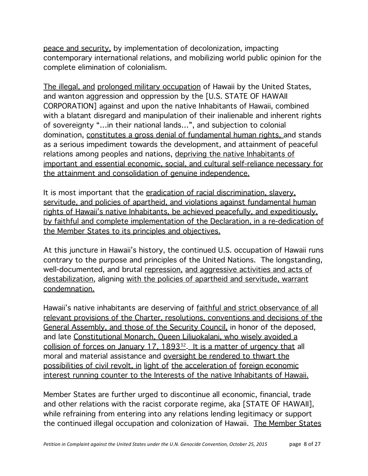peace and security, by implementation of decolonization, impacting contemporary international relations, and mobilizing world public opinion for the complete elimination of colonialism.

The illegal, and prolonged military occupation of Hawaii by the United States, and wanton aggression and oppression by the [U.S. STATE OF HAWAII CORPORATION] against and upon the native Inhabitants of Hawaii, combined with a blatant disregard and manipulation of their inalienable and inherent rights of sovereignty "…in their national lands…", and subjection to colonial domination, constitutes a gross denial of fundamental human rights, and stands as a serious impediment towards the development, and attainment of peaceful relations among peoples and nations, depriving the native Inhabitants of important and essential economic, social, and cultural self-reliance necessary for the attainment and consolidation of genuine independence.

It is most important that the eradication of racial discrimination, slavery, servitude, and policies of apartheid, and violations against fundamental human rights of Hawaii's native Inhabitants, be achieved peacefully, and expeditiously, by faithful and complete implementation of the Declaration, in a re-dedication of the Member States to its principles and objectives.

At this juncture in Hawaii's history, the continued U.S. occupation of Hawaii runs contrary to the purpose and principles of the United Nations. The longstanding, well-documented, and brutal repression, and aggressive activities and acts of destabilization, aligning with the policies of apartheid and servitude, warrant condemnation.

Hawaii's native inhabitants are deserving of faithful and strict observance of all relevant provisions of the Charter, resolutions, conventions and decisions of the General Assembly, and those of the Security Council, in honor of the deposed, and late Constitutional Monarch, Queen Liliuokalani, who wisely avoided a collision of forces on January 17, 1893<sup>32</sup>. It is a matter of urgency that all moral and material assistance and oversight be rendered to thwart the possibilities of civil revolt, in light of the acceleration of foreign economic interest running counter to the Interests of the native Inhabitants of Hawaii.

Member States are further urged to discontinue all economic, financial, trade and other relations with the racist corporate regime, aka [STATE OF HAWAII], while refraining from entering into any relations lending legitimacy or support the continued illegal occupation and colonization of Hawaii. The Member States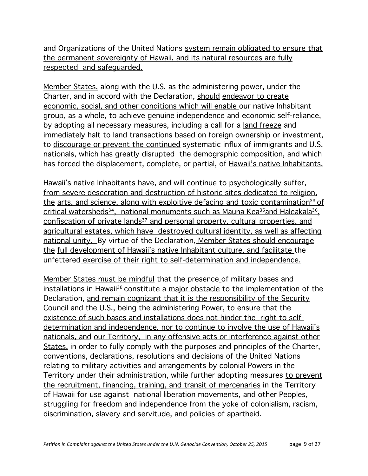and Organizations of the United Nations system remain obligated to ensure that the permanent sovereignty of Hawaii, and its natural resources are fully respected and safeguarded.

Member States, along with the U.S. as the administering power, under the Charter, and in accord with the Declaration, should endeavor to create economic, social, and other conditions which will enable our native Inhabitant group, as a whole, to achieve genuine independence and economic self-reliance, by adopting all necessary measures, including a call for a land freeze and immediately halt to land transactions based on foreign ownership or investment, to discourage or prevent the continued systematic influx of immigrants and U.S. nationals, which has greatly disrupted the demographic composition, and which has forced the displacement, complete, or partial, of Hawaii's native Inhabitants.

Hawaii's native Inhabitants have, and will continue to psychologically suffer, from severe desecration and destruction of historic sites dedicated to religion, the arts, and science, along with exploitive defacing and toxic contamination<sup>33</sup> of critical watersheds<sup>34</sup>, national monuments such as Mauna Kea<sup>35</sup> and Haleakala<sup>36</sup>, confiscation of private lands<sup>37</sup> and personal property, cultural properties, and agricultural estates, which have destroyed cultural identity, as well as affecting national unity. By virtue of the Declaration, Member States should encourage the full development of Hawaii's native Inhabitant culture, and facilitate the unfettered exercise of their right to self-determination and independence.

Member States must be mindful that the presence of military bases and installations in Hawaii<sup>38</sup> constitute a major obstacle to the implementation of the Declaration, and remain cognizant that it is the responsibility of the Security Council and the U.S., being the administering Power, to ensure that the existence of such bases and installations does not hinder the right to selfdetermination and independence, nor to continue to involve the use of Hawaii's nationals, and our Territory, in any offensive acts or interference against other States, in order to fully comply with the purposes and principles of the Charter, conventions, declarations, resolutions and decisions of the United Nations relating to military activities and arrangements by colonial Powers in the Territory under their administration, while further adopting measures to prevent the recruitment, financing, training, and transit of mercenaries in the Territory of Hawaii for use against national liberation movements, and other Peoples, struggling for freedom and independence from the yoke of colonialism, racism, discrimination, slavery and servitude, and policies of apartheid.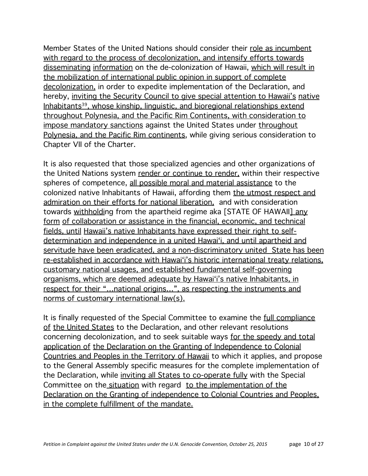Member States of the United Nations should consider their role as incumbent with regard to the process of decolonization, and intensify efforts towards disseminating information on the de-colonization of Hawaii, which will result in the mobilization of international public opinion in support of complete decolonization, in order to expedite implementation of the Declaration, and hereby, inviting the Security Council to give special attention to Hawaii's native Inhabitants<sup>39</sup>, whose kinship, linguistic, and bioregional relationships extend throughout Polynesia, and the Pacific Rim Continents, with consideration to impose mandatory sanctions against the United States under throughout Polynesia, and the Pacific Rim continents, while giving serious consideration to Chapter VII of the Charter.

It is also requested that those specialized agencies and other organizations of the United Nations system render or continue to render, within their respective spheres of competence, all possible moral and material assistance to the colonized native Inhabitants of Hawaii, affording them the utmost respect and admiration on their efforts for national liberation, and with consideration towards withholding from the apartheid regime aka [STATE OF HAWAII] any form of collaboration or assistance in the financial, economic, and technical fields, until Hawaii's native Inhabitants have expressed their right to selfdetermination and independence in a united Hawaiʻi, and until apartheid and servitude have been eradicated, and a non-discriminatory united State has been re-established in accordance with Hawaiʻi's historic international treaty relations, customary national usages, and established fundamental self-governing organisms, which are deemed adequate by Hawaiʻi's native Inhabitants, in respect for their "…national origins…", as respecting the instruments and norms of customary international law(s).

It is finally requested of the Special Committee to examine the full compliance of the United States to the Declaration, and other relevant resolutions concerning decolonization, and to seek suitable ways for the speedy and total application of the Declaration on the Granting of Independence to Colonial Countries and Peoples in the Territory of Hawaii to which it applies, and propose to the General Assembly specific measures for the complete implementation of the Declaration, while inviting all States to co-operate fully with the Special Committee on the situation with regard to the implementation of the Declaration on the Granting of independence to Colonial Countries and Peoples, in the complete fulfillment of the mandate.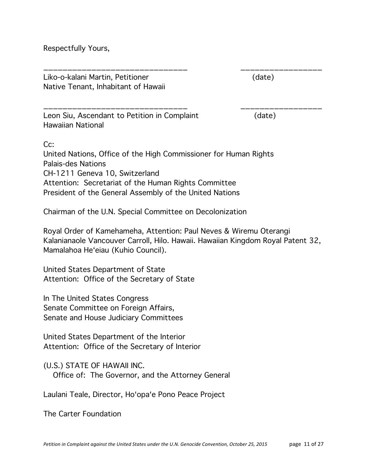Respectfully Yours,

Liko-o-kalani Martin, Petitioner (date) Native Tenant, Inhabitant of Hawaii

Leon Siu, Ascendant to Petition in Complaint (date) Hawaiian National

 $C_{\mathcal{C}}$ :

United Nations, Office of the High Commissioner for Human Rights Palais-des Nations CH-1211 Geneva 10, Switzerland Attention: Secretariat of the Human Rights Committee President of the General Assembly of the United Nations

Chairman of the U.N. Special Committee on Decolonization

Royal Order of Kamehameha, Attention: Paul Neves & Wiremu Oterangi Kalanianaole Vancouver Carroll, Hilo. Hawaii. Hawaiian Kingdom Royal Patent 32, Mamalahoa Heʻeiau (Kuhio Council).

\_\_\_\_\_\_\_\_\_\_\_\_\_\_\_\_\_\_\_\_\_\_\_\_\_\_\_\_\_\_ \_\_\_\_\_\_\_\_\_\_\_\_\_\_\_\_\_

\_\_\_\_\_\_\_\_\_\_\_\_\_\_\_\_\_\_\_\_\_\_\_\_\_\_\_\_\_\_ \_\_\_\_\_\_\_\_\_\_\_\_\_\_\_\_\_

United States Department of State Attention: Office of the Secretary of State

In The United States Congress Senate Committee on Foreign Affairs, Senate and House Judiciary Committees

United States Department of the Interior Attention: Office of the Secretary of Interior

(U.S.) STATE OF HAWAII INC. Office of: The Governor, and the Attorney General

Laulani Teale, Director, Hoʻopaʻe Pono Peace Project

The Carter Foundation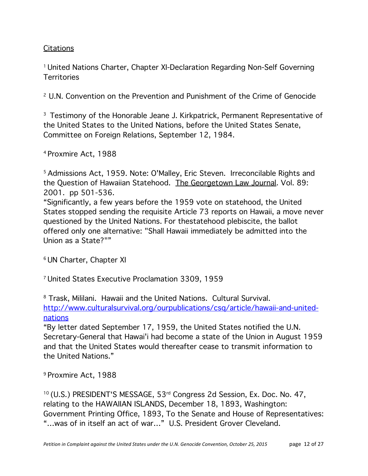# **Citations**

<sup>1</sup> United Nations Charter, Chapter XI-Declaration Regarding Non-Self Governing **Territories** 

2 U.N. Convention on the Prevention and Punishment of the Crime of Genocide

<sup>3</sup> Testimony of the Honorable Jeane J. Kirkpatrick, Permanent Representative of the United States to the United Nations, before the United States Senate, Committee on Foreign Relations, September 12, 1984.

4 Proxmire Act, 1988

5 Admissions Act, 1959. Note: O'Malley, Eric Steven. Irreconcilable Rights and the Question of Hawaiian Statehood. The Georgetown Law Journal. Vol. 89: 2001. pp 501-536.

"Significantly, a few years before the 1959 vote on statehood, the United States stopped sending the requisite Article 73 reports on Hawaii, a move never questioned by the United Nations. For thestatehood plebiscite, the ballot offered only one alternative: "Shall Hawaii immediately be admitted into the Union as a State?""

6 UN Charter, Chapter XI

7 United States Executive Proclamation 3309, 1959

<sup>8</sup> Trask, Mililani. Hawaii and the United Nations. Cultural Survival. http://www.culturalsurvival.org/ourpublications/csq/article/hawaii-and-unitednations

"By letter dated September 17, 1959, the United States notified the U.N. Secretary-General that Hawai'i had become a state of the Union in August 1959 and that the United States would thereafter cease to transmit information to the United Nations."

9 Proxmire Act, 1988

10 (U.S.) PRESIDENTʻS MESSAGE, 53rd Congress 2d Session, Ex. Doc. No. 47, relating to the HAWAIIAN ISLANDS, December 18, 1893, Washington: Government Printing Office, 1893, To the Senate and House of Representatives: "…was of in itself an act of war…" U.S. President Grover Cleveland.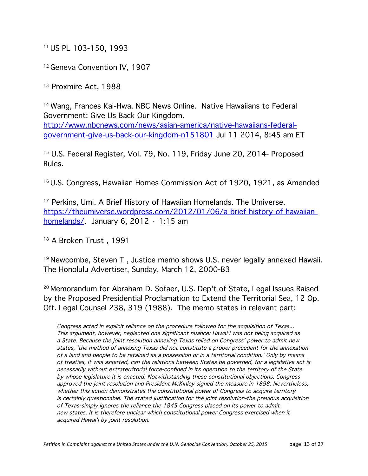11 US PL 103-150, 1993

<sup>12</sup> Geneva Convention IV, 1907

13 Proxmire Act, 1988

14 Wang, Frances Kai-Hwa. NBC News Online. Native Hawaiians to Federal Government: Give Us Back Our Kingdom.

http://www.nbcnews.com/news/asian-america/native-hawaiians-federalgovernment-give-us-back-our-kingdom-n151801 Jul 11 2014, 8:45 am ET

<sup>15</sup> U.S. Federal Register, Vol. 79, No. 119, Friday June 20, 2014- Proposed Rules.

16 U.S. Congress, Hawaiian Homes Commission Act of 1920, 1921, as Amended

<sup>17</sup> Perkins, Umi. A Brief History of Hawaiian Homelands. The Umiverse. https://theumiverse.wordpress.com/2012/01/06/a-brief-history-of-hawaiianhomelands/. January 6, 2012 · 1:15 am

<sup>18</sup> A Broken Trust, 1991

<sup>19</sup> Newcombe, Steven T, Justice memo shows U.S. never legally annexed Hawaii. The Honolulu Advertiser, Sunday, March 12, 2000-B3

20 Memorandum for Abraham D. Sofaer, U.S. Dep't of State, Legal Issues Raised by the Proposed Presidential Proclamation to Extend the Territorial Sea, 12 Op. Off. Legal Counsel 238, 319 (1988). The memo states in relevant part:

Congress acted in explicit reliance on the procedure followed for the acquisition of Texas... This argument, however, neglected one significant nuance: Hawai'i was not being acquired as a State. Because the joint resolution annexing Texas relied on Congress' power to admit new states, 'the method of annexing Texas did not constitute a proper precedent for the annexation of a land and people to be retained as a possession or in a territorial condition.' Only by means of treaties, it was asserted, can the relations between States be governed, for a legislative act is necessarily without extraterritorial force-confined in its operation to the territory of the State by whose legislature it is enacted. Notwithstanding these constitutional objections, Congress approved the joint resolution and President McKinley signed the measure in 1898. Nevertheless, whether this action demonstrates the constitutional power of Congress to acquire territory is certainly questionable. The stated justification for the joint resolution-the previous acquisition of Texas-simply ignores the reliance the 1845 Congress placed on its power to admit new states. It is therefore unclear which constitutional power Congress exercised when it acquired Hawai'i by joint resolution.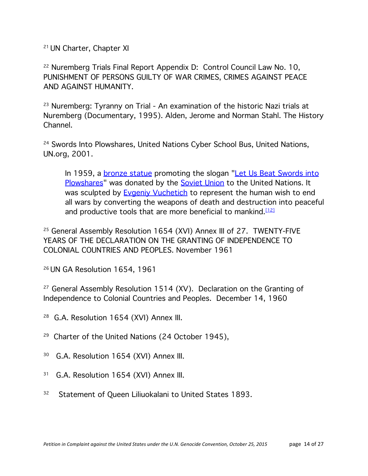21 UN Charter, Chapter XI

<sup>22</sup> Nuremberg Trials Final Report Appendix D: Control Council Law No. 10, PUNISHMENT OF PERSONS GUILTY OF WAR CRIMES, CRIMES AGAINST PEACE AND AGAINST HUMANITY.

23 Nuremberg: Tyranny on Trial - An examination of the historic Nazi trials at Nuremberg (Documentary, 1995). Alden, Jerome and Norman Stahl. The History Channel.

<sup>24</sup> Swords Into Plowshares, United Nations Cyber School Bus, United Nations, UN.org, 2001.

In 1959, a **bronze statue** promoting the slogan "Let Us Beat Swords into Plowshares" was donated by the Soviet Union to the United Nations. It was sculpted by Evgeniy Vuchetich to represent the human wish to end all wars by converting the weapons of death and destruction into peaceful and productive tools that are more beneficial to mankind.<sup>[12]</sup>

<sup>25</sup> General Assembly Resolution 1654 (XVI) Annex III of 27. TWENTY-FIVE YEARS OF THE DECLARATION ON THE GRANTING OF INDEPENDENCE TO COLONIAL COUNTRIES AND PEOPLES. November 1961

26 UN GA Resolution 1654, 1961

<sup>27</sup> General Assembly Resolution 1514 (XV). Declaration on the Granting of Independence to Colonial Countries and Peoples. December 14, 1960

- <sup>28</sup> G.A. Resolution 1654 (XVI) Annex III.
- <sup>29</sup> Charter of the United Nations (24 October 1945),
- <sup>30</sup> G.A. Resolution 1654 (XVI) Annex III.
- <sup>31</sup> G.A. Resolution 1654 (XVI) Annex III.
- <sup>32</sup> Statement of Queen Liliuokalani to United States 1893.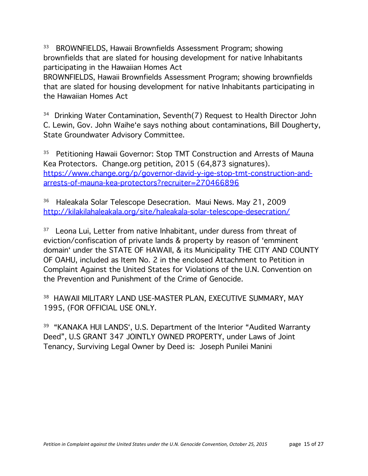33 BROWNFIELDS, Hawaii Brownfields Assessment Program; showing brownfields that are slated for housing development for native Inhabitants participating in the Hawaiian Homes Act

BROWNFIELDS, Hawaii Brownfields Assessment Program; showing brownfields that are slated for housing development for native Inhabitants participating in the Hawaiian Homes Act

<sup>34</sup> Drinking Water Contamination, Seventh(7) Request to Health Director John C. Lewin, Gov. John Waiheʻe says nothing about contaminations, Bill Dougherty, State Groundwater Advisory Committee.

<sup>35</sup> Petitioning Hawaii Governor: Stop TMT Construction and Arrests of Mauna Kea Protectors. Change.org petition, 2015 (64,873 signatures). https://www.change.org/p/governor-david-y-ige-stop-tmt-construction-andarrests-of-mauna-kea-protectors?recruiter=270466896

36 Haleakala Solar Telescope Desecration. Maui News. May 21, 2009 http://kilakilahaleakala.org/site/haleakala-solar-telescope-desecration/

<sup>37</sup> Leona Lui, Letter from native Inhabitant, under duress from threat of eviction/confiscation of private lands & property by reason of ʻemminent domainʻ under the STATE OF HAWAII, & its Municipality THE CITY AND COUNTY OF OAHU, included as Item No. 2 in the enclosed Attachment to Petition in Complaint Against the United States for Violations of the U.N. Convention on the Prevention and Punishment of the Crime of Genocide.

38 HAWAII MILITARY LAND USE-MASTER PLAN, EXECUTIVE SUMMARY, MAY 1995, (FOR OFFICIAL USE ONLY.

39 "KANAKA HUI LANDSʻ, U.S. Department of the Interior "Audited Warranty Deed", U.S GRANT 347 JOINTLY OWNED PROPERTY, under Laws of Joint Tenancy, Surviving Legal Owner by Deed is: Joseph Punilei Manini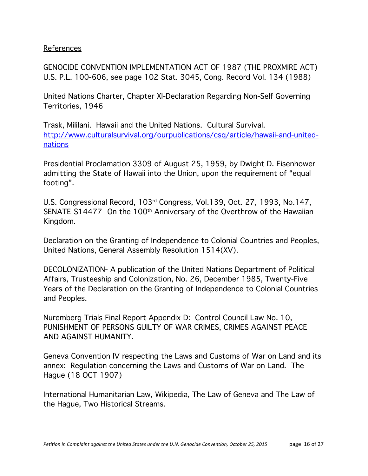### References

GENOCIDE CONVENTION IMPLEMENTATION ACT OF 1987 (THE PROXMIRE ACT) U.S. P.L. 100-606, see page 102 Stat. 3045, Cong. Record Vol. 134 (1988)

United Nations Charter, Chapter XI-Declaration Regarding Non-Self Governing Territories, 1946

Trask, Mililani. Hawaii and the United Nations. Cultural Survival. http://www.culturalsurvival.org/ourpublications/csq/article/hawaii-and-unitednations

Presidential Proclamation 3309 of August 25, 1959, by Dwight D. Eisenhower admitting the State of Hawaii into the Union, upon the requirement of "equal footing".

U.S. Congressional Record, 103rd Congress, Vol.139, Oct. 27, 1993, No.147, SENATE-S14477- On the 100<sup>th</sup> Anniversary of the Overthrow of the Hawaiian Kingdom.

Declaration on the Granting of Independence to Colonial Countries and Peoples, United Nations, General Assembly Resolution 1514(XV).

DECOLONIZATION- A publication of the United Nations Department of Political Affairs, Trusteeship and Colonization, No. 26, December 1985, Twenty-Five Years of the Declaration on the Granting of Independence to Colonial Countries and Peoples.

Nuremberg Trials Final Report Appendix D: Control Council Law No. 10, PUNISHMENT OF PERSONS GUILTY OF WAR CRIMES, CRIMES AGAINST PEACE AND AGAINST HUMANITY.

Geneva Convention IV respecting the Laws and Customs of War on Land and its annex: Regulation concerning the Laws and Customs of War on Land. The Hague (18 OCT 1907)

International Humanitarian Law, Wikipedia, The Law of Geneva and The Law of the Hague, Two Historical Streams.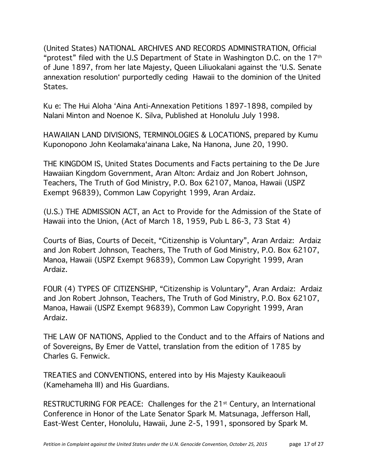(United States) NATIONAL ARCHIVES AND RECORDS ADMINISTRATION, Official "protest" filed with the U.S Department of State in Washington D.C. on the 17th of June 1897, from her late Majesty, Queen Liliuokalani against the ʻU.S. Senate annexation resolutionʻ purportedly ceding Hawaii to the dominion of the United States.

Ku e: The Hui Aloha ʻAina Anti-Annexation Petitions 1897-1898, compiled by Nalani Minton and Noenoe K. Silva, Published at Honolulu July 1998.

HAWAIIAN LAND DIVISIONS, TERMINOLOGIES & LOCATIONS, prepared by Kumu Kuponopono John Keolamakaʻainana Lake, Na Hanona, June 20, 1990.

THE KINGDOM IS, United States Documents and Facts pertaining to the De Jure Hawaiian Kingdom Government, Aran Alton: Ardaiz and Jon Robert Johnson, Teachers, The Truth of God Ministry, P.O. Box 62107, Manoa, Hawaii (USPZ Exempt 96839), Common Law Copyright 1999, Aran Ardaiz.

(U.S.) THE ADMISSION ACT, an Act to Provide for the Admission of the State of Hawaii into the Union, (Act of March 18, 1959, Pub L 86-3, 73 Stat 4)

Courts of Bias, Courts of Deceit, "Citizenship is Voluntary", Aran Ardaiz: Ardaiz and Jon Robert Johnson, Teachers, The Truth of God Ministry, P.O. Box 62107, Manoa, Hawaii (USPZ Exempt 96839), Common Law Copyright 1999, Aran Ardaiz.

FOUR (4) TYPES OF CITIZENSHIP, "Citizenship is Voluntary", Aran Ardaiz: Ardaiz and Jon Robert Johnson, Teachers, The Truth of God Ministry, P.O. Box 62107, Manoa, Hawaii (USPZ Exempt 96839), Common Law Copyright 1999, Aran Ardaiz.

THE LAW OF NATIONS, Applied to the Conduct and to the Affairs of Nations and of Sovereigns, By Emer de Vattel, translation from the edition of 1785 by Charles G. Fenwick.

TREATIES and CONVENTIONS, entered into by His Majesty Kauikeaouli (Kamehameha III) and His Guardians.

RESTRUCTURING FOR PEACE: Challenges for the 21<sup>st</sup> Century, an International Conference in Honor of the Late Senator Spark M. Matsunaga, Jefferson Hall, East-West Center, Honolulu, Hawaii, June 2-5, 1991, sponsored by Spark M.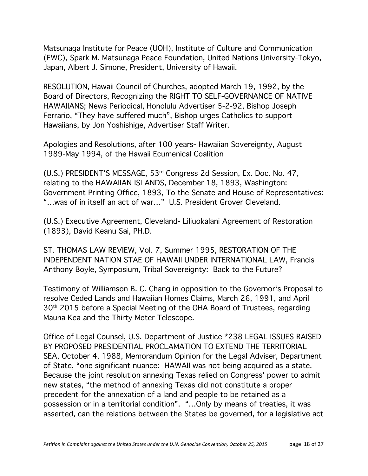Matsunaga Institute for Peace (UOH), Institute of Culture and Communication (EWC), Spark M. Matsunaga Peace Foundation, United Nations University-Tokyo, Japan, Albert J. Simone, President, University of Hawaii.

RESOLUTION, Hawaii Council of Churches, adopted March 19, 1992, by the Board of Directors, Recognizing the RIGHT TO SELF-GOVERNANCE OF NATIVE HAWAIIANS; News Periodical, Honolulu Advertiser 5-2-92, Bishop Joseph Ferrario, "They have suffered much", Bishop urges Catholics to support Hawaiians, by Jon Yoshishige, Advertiser Staff Writer.

Apologies and Resolutions, after 100 years- Hawaiian Sovereignty, August 1989-May 1994, of the Hawaii Ecumenical Coalition

(U.S.) PRESIDENTʻS MESSAGE, 53rd Congress 2d Session, Ex. Doc. No. 47, relating to the HAWAIIAN ISLANDS, December 18, 1893, Washington: Government Printing Office, 1893, To the Senate and House of Representatives: "…was of in itself an act of war…" U.S. President Grover Cleveland.

(U.S.) Executive Agreement, Cleveland- Liliuokalani Agreement of Restoration (1893), David Keanu Sai, PH.D.

ST. THOMAS LAW REVIEW, Vol. 7, Summer 1995, RESTORATION OF THE INDEPENDENT NATION STAE OF HAWAII UNDER INTERNATIONAL LAW, Francis Anthony Boyle, Symposium, Tribal Sovereignty: Back to the Future?

Testimony of Williamson B. C. Chang in opposition to the Governorʻs Proposal to resolve Ceded Lands and Hawaiian Homes Claims, March 26, 1991, and April 30th 2015 before a Special Meeting of the OHA Board of Trustees, regarding Mauna Kea and the Thirty Meter Telescope.

Office of Legal Counsel, U.S. Department of Justice \*238 LEGAL ISSUES RAISED BY PROPOSED PRESIDENTIAL PROCLAMATION TO EXTEND THE TERRITORIAL SEA, October 4, 1988, Memorandum Opinion for the Legal Adviser, Department of State, "one significant nuance: HAWAII was not being acquired as a state. Because the joint resolution annexing Texas relied on Congressʻ power to admit new states, "the method of annexing Texas did not constitute a proper precedent for the annexation of a land and people to be retained as a possession or in a territorial condition". "…Only by means of treaties, it was asserted, can the relations between the States be governed, for a legislative act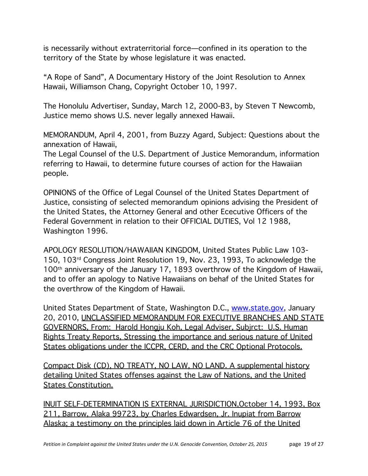is necessarily without extraterritorial force—confined in its operation to the territory of the State by whose legislature it was enacted.

"A Rope of Sand", A Documentary History of the Joint Resolution to Annex Hawaii, Williamson Chang, Copyright October 10, 1997.

The Honolulu Advertiser, Sunday, March 12, 2000-B3, by Steven T Newcomb, Justice memo shows U.S. never legally annexed Hawaii.

MEMORANDUM, April 4, 2001, from Buzzy Agard, Subject: Questions about the annexation of Hawaii,

The Legal Counsel of the U.S. Department of Justice Memorandum, information referring to Hawaii, to determine future courses of action for the Hawaiian people.

OPINIONS of the Office of Legal Counsel of the United States Department of Justice, consisting of selected memorandum opinions advising the President of the United States, the Attorney General and other Ececutive Officers of the Federal Government in relation to their OFFICIAL DUTIES, Vol 12 1988, Washington 1996.

APOLOGY RESOLUTION/HAWAIIAN KINGDOM, United States Public Law 103- 150, 103rd Congress Joint Resolution 19, Nov. 23, 1993, To acknowledge the 100<sup>th</sup> anniversary of the January 17, 1893 overthrow of the Kingdom of Hawaii, and to offer an apology to Native Hawaiians on behaf of the United States for the overthrow of the Kingdom of Hawaii.

United States Department of State, Washington D.C., www.state.gov, January 20, 2010, UNCLASSIFIED MEMORANDUM FOR EXECUTIVE BRANCHES AND STATE GOVERNORS, From: Harold Hongju Koh, Legal Adviser, Subjrct: U.S. Human Rights Treaty Reports, Stressing the importance and serious nature of United States obligations under the ICCPR, CERD, and the CRC Optional Protocols.

Compact Disk (CD), NO TREATY, NO LAW, NO LAND. A supplemental history detailing United States offenses against the Law of Nations, and the United States Constitution.

INUIT SELF-DETERMINATION IS EXTERNAL JURISDICTION,October 14, 1993, Box 211, Barrow, Alaka 99723, by Charles Edwardsen, Jr. Inupiat from Barrow Alaska; a testimony on the principles laid down in Article 76 of the United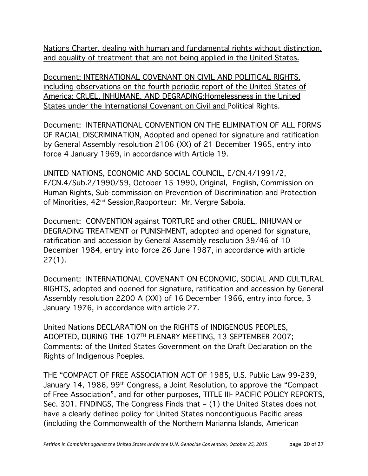Nations Charter, dealing with human and fundamental rights without distinction, and equality of treatment that are not being applied in the United States.

Document: INTERNATIONAL COVENANT ON CIVIL AND POLITICAL RIGHTS, including observations on the fourth periodic report of the United States of America; CRUEL, INHUMANE, AND DEGRADING:Homelessness in the United States under the International Covenant on Civil and Political Rights.

Document: INTERNATIONAL CONVENTION ON THE ELIMINATION OF ALL FORMS OF RACIAL DISCRIMINATION, Adopted and opened for signature and ratification by General Assembly resolution 2106 (XX) of 21 December 1965, entry into force 4 January 1969, in accordance with Article 19.

UNITED NATIONS, ECONOMIC AND SOCIAL COUNCIL, E/CN.4/1991/2, E/CN.4/Sub.2/1990/59, October 15 1990, Original, English, Commission on Human Rights, Sub-commission on Prevention of Discrimination and Protection of Minorities, 42nd Session,Rapporteur: Mr. Vergre Saboia.

Document: CONVENTION against TORTURE and other CRUEL, INHUMAN or DEGRADING TREATMENT or PUNISHMENT, adopted and opened for signature, ratification and accession by General Assembly resolution 39/46 of 10 December 1984, entry into force 26 June 1987, in accordance with article  $27(1)$ .

Document: INTERNATIONAL COVENANT ON ECONOMIC, SOCIAL AND CULTURAL RIGHTS, adopted and opened for signature, ratification and accession by General Assembly resolution 2200 A (XXI) of 16 December 1966, entry into force, 3 January 1976, in accordance with article 27.

United Nations DECLARATION on the RIGHTS of INDIGENOUS PEOPLES, ADOPTED, DURING THE 107TH PLENARY MEETING, 13 SEPTEMBER 2007; Comments: of the United States Government on the Draft Declaration on the Rights of Indigenous Poeples.

THE "COMPACT OF FREE ASSOCIATION ACT OF 1985, U.S. Public Law 99-239, January 14, 1986, 99th Congress, a Joint Resolution, to approve the "Compact of Free Association", and for other purposes, TITLE III- PACIFIC POLICY REPORTS, Sec. 301. FINDINGS, The Congress Finds that – (1) the United States does not have a clearly defined policy for United States noncontiguous Pacific areas (including the Commonwealth of the Northern Marianna Islands, American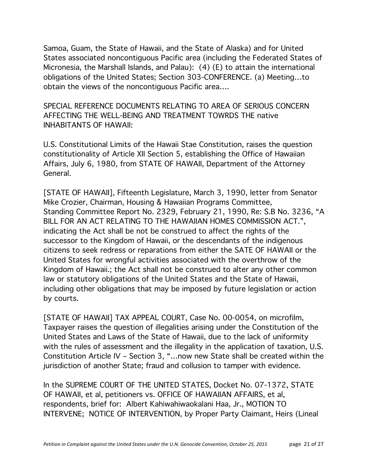Samoa, Guam, the State of Hawaii, and the State of Alaska) and for United States associated noncontiguous Pacific area (including the Federated States of Micronesia, the Marshall Islands, and Palau): (4) (E) to attain the international obligations of the United States; Section 303-CONFERENCE. (a) Meeting…to obtain the views of the noncontiguous Pacific area….

SPECIAL REFERENCE DOCUMENTS RELATING TO AREA OF SERIOUS CONCERN AFFECTING THE WELL-BEING AND TREATMENT TOWRDS THE native INHABITANTS OF HAWAII:

U.S. Constitutional Limits of the Hawaii Stae Constitution, raises the question constitutionality of Article XII Section 5, establishing the Office of Hawaiian Affairs, July 6, 1980, from STATE OF HAWAII, Department of the Attorney General.

[STATE OF HAWAII], Fifteenth Legislature, March 3, 1990, letter from Senator Mike Crozier, Chairman, Housing & Hawaiian Programs Committee, Standing Committee Report No. 2329, February 21, 1990, Re: S.B No. 3236, "A BILL FOR AN ACT RELATING TO THE HAWAIIAN HOMES COMMISSION ACT.", indicating the Act shall be not be construed to affect the rights of the successor to the Kingdom of Hawaii, or the descendants of the indigenous citizens to seek redress or reparations from either the SATE OF HAWAII or the United States for wrongful activities associated with the overthrow of the Kingdom of Hawaii.; the Act shall not be construed to alter any other common law or statutory obligations of the United States and the State of Hawaii, including other obligations that may be imposed by future legislation or action by courts.

[STATE OF HAWAII] TAX APPEAL COURT, Case No. 00-0054, on microfilm, Taxpayer raises the question of illegalities arising under the Constitution of the United States and Laws of the State of Hawaii, due to the lack of uniformity with the rules of assessment and the illegality in the application of taxation, U.S. Constitution Article IV – Section 3, "…now new State shall be created within the jurisdiction of another State; fraud and collusion to tamper with evidence.

In the SUPREME COURT OF THE UNITED STATES, Docket No. 07-1372, STATE OF HAWAII, et al, petitioners vs. OFFICE OF HAWAIIAN AFFAIRS, et al, respondents, brief for: Albert Kahiwahiwaokalani Haa, Jr., MOTION TO INTERVENE; NOTICE OF INTERVENTION, by Proper Party Claimant, Heirs (Lineal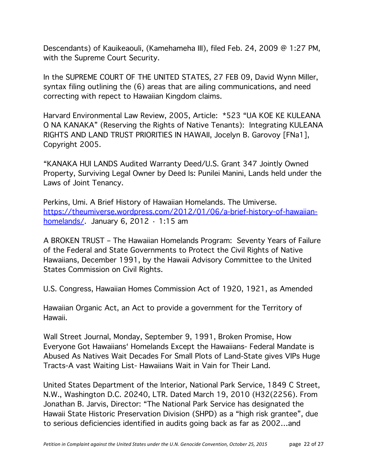Descendants) of Kauikeaouli, (Kamehameha III), filed Feb. 24, 2009 @ 1:27 PM, with the Supreme Court Security.

In the SUPREME COURT OF THE UNITED STATES, 27 FEB 09, David Wynn Miller, syntax filing outlining the (6) areas that are ailing communications, and need correcting with repect to Hawaiian Kingdom claims.

Harvard Environmental Law Review, 2005, Article: \*523 "UA KOE KE KULEANA O NA KANAKA" (Reserving the Rights of Native Tenants): Integrating KULEANA RIGHTS AND LAND TRUST PRIORITIES IN HAWAII, Jocelyn B. Garovoy [FNa1], Copyright 2005.

"KANAKA HUI LANDS Audited Warranty Deed/U.S. Grant 347 Jointly Owned Property, Surviving Legal Owner by Deed Is: Punilei Manini, Lands held under the Laws of Joint Tenancy.

Perkins, Umi. A Brief History of Hawaiian Homelands. The Umiverse. https://theumiverse.wordpress.com/2012/01/06/a-brief-history-of-hawaiianhomelands/. January 6, 2012 · 1:15 am

A BROKEN TRUST – The Hawaiian Homelands Program: Seventy Years of Failure of the Federal and State Governments to Protect the Civil Rights of Native Hawaiians, December 1991, by the Hawaii Advisory Committee to the United States Commission on Civil Rights.

U.S. Congress, Hawaiian Homes Commission Act of 1920, 1921, as Amended

Hawaiian Organic Act, an Act to provide a government for the Territory of Hawaii.

Wall Street Journal, Monday, September 9, 1991, Broken Promise, How Everyone Got Hawaiiansʻ Homelands Except the Hawaiians- Federal Mandate is Abused As Natives Wait Decades For Small Plots of Land-State gives VIPs Huge Tracts-A vast Waiting List- Hawaiians Wait in Vain for Their Land.

United States Department of the Interior, National Park Service, 1849 C Street, N.W., Washington D.C. 20240, LTR. Dated March 19, 2010 (H32(2256). From Jonathan B. Jarvis, Director: "The National Park Service has designated the Hawaii State Historic Preservation Division (SHPD) as a "high risk grantee", due to serious deficiencies identified in audits going back as far as 2002…and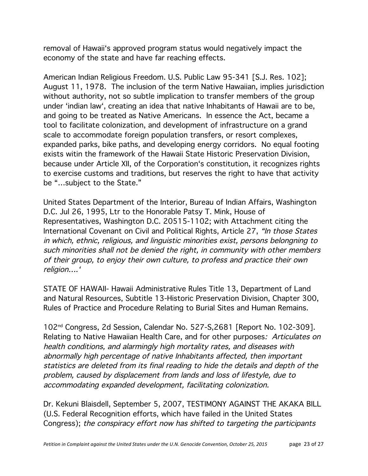removal of Hawaiiʻs approved program status would negatively impact the economy of the state and have far reaching effects.

American Indian Religious Freedom. U.S. Public Law 95-341 [S.J. Res. 102]; August 11, 1978. The inclusion of the term Native Hawaiian, implies jurisdiction without authority, not so subtle implication to transfer members of the group under ʻindian lawʻ, creating an idea that native Inhabitants of Hawaii are to be, and going to be treated as Native Americans. In essence the Act, became a tool to facilitate colonization, and development of infrastructure on a grand scale to accommodate foreign population transfers, or resort complexes, expanded parks, bike paths, and developing energy corridors. No equal footing exists witin the framework of the Hawaii State Historic Preservation Division, because under Article XII, of the Corporationʻs constitution, it recognizes rights to exercise customs and traditions, but reserves the right to have that activity be "…subject to the State."

United States Department of the Interior, Bureau of Indian Affairs, Washington D.C. Jul 26, 1995, Ltr to the Honorable Patsy T. Mink, House of Representatives, Washington D.C. 20515-1102; with Attachment citing the International Covenant on Civil and Political Rights, Article 27, "In those States in which, ethnic, religious, and linguistic minorities exist, persons belongning to such minorities shall not be denied the right, in community with other members of their group, to enjoy their own culture, to profess and practice their own religion….<sup>ʻ</sup>

STATE OF HAWAII- Hawaii Administrative Rules Title 13, Department of Land and Natural Resources, Subtitle 13-Historic Preservation Division, Chapter 300, Rules of Practice and Procedure Relating to Burial Sites and Human Remains.

102nd Congress, 2d Session, Calendar No. 527-S,2681 [Report No. 102-309]. Relating to Native Hawaiian Health Care, and for other purposes: Articulates on health conditions, and alarmingly high mortality rates, and diseases with abnormally high percentage of native Inhabitants affected, then important statistics are deleted from its final reading to hide the details and depth of the problem, caused by displacement from lands and loss of lifestyle, due to accommodating expanded development, facilitating colonization.

Dr. Kekuni Blaisdell, September 5, 2007, TESTIMONY AGAINST THE AKAKA BILL (U.S. Federal Recognition efforts, which have failed in the United States Congress); the conspiracy effort now has shifted to targeting the participants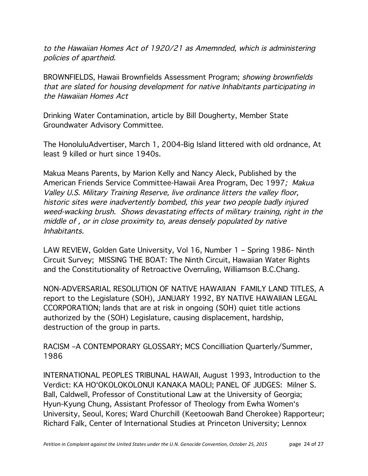to the Hawaiian Homes Act of 1920/21 as Amemnded, which is administering policies of apartheid.

BROWNFIELDS, Hawaii Brownfields Assessment Program; showing brownfields that are slated for housing development for native Inhabitants participating in the Hawaiian Homes Act

Drinking Water Contamination, article by Bill Dougherty, Member State Groundwater Advisory Committee.

The HonoluluAdvertiser, March 1, 2004-Big Island littered with old ordnance, At least 9 killed or hurt since 1940s.

Makua Means Parents, by Marion Kelly and Nancy Aleck, Published by the American Friends Service Committee-Hawaii Area Program, Dec 1997; Makua Valley U.S. Military Training Reserve, live ordinance litters the valley floor, historic sites were inadvertently bombed, this year two people badly injured weed-wacking brush. Shows devastating effects of military training, right in the middle of , or in close proximity to, areas densely populated by native Inhabitants.

LAW REVIEW, Golden Gate University, Vol 16, Number 1 – Spring 1986- Ninth Circuit Survey; MISSING THE BOAT: The Ninth Circuit, Hawaiian Water Rights and the Constitutionality of Retroactive Overruling, Williamson B.C.Chang.

NON-ADVERSARIAL RESOLUTION OF NATIVE HAWAIIAN FAMILY LAND TITLES, A report to the Legislature (SOH), JANUARY 1992, BY NATIVE HAWAIIAN LEGAL CCORPORATION; lands that are at risk in ongoing (SOH) quiet title actions authorized by the (SOH) Legislature, causing displacement, hardship, destruction of the group in parts.

RACISM –A CONTEMPORARY GLOSSARY; MCS Concilliation Quarterly/Summer, 1986

INTERNATIONAL PEOPLES TRIBUNAL HAWAII, August 1993, Introduction to the Verdict: KA HOʻOKOLOKOLONUI KANAKA MAOLI; PANEL OF JUDGES: Milner S. Ball, Caldwell, Professor of Constitutional Law at the University of Georgia; Hyun-Kyung Chung, Assistant Professor of Theology from Ewha Womenʻs University, Seoul, Kores; Ward Churchill (Keetoowah Band Cherokee) Rapporteur; Richard Falk, Center of International Studies at Princeton University; Lennox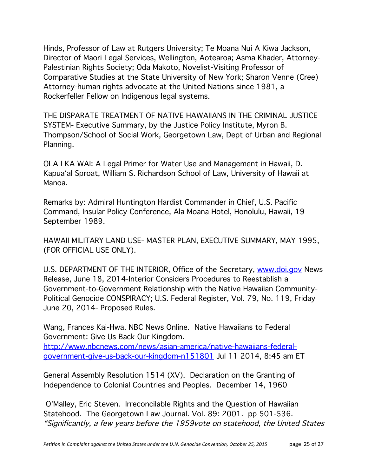Hinds, Professor of Law at Rutgers University; Te Moana Nui A Kiwa Jackson, Director of Maori Legal Services, Wellington, Aotearoa; Asma Khader, Attorney-Palestinian Rights Society; Oda Makoto, Novelist-Visiting Professor of Comparative Studies at the State University of New York; Sharon Venne (Cree) Attorney-human rights advocate at the United Nations since 1981, a Rockerfeller Fellow on Indigenous legal systems.

THE DISPARATE TREATMENT OF NATIVE HAWAIIANS IN THE CRIMINAL JUSTICE SYSTEM- Executive Summary, by the Justice Policy Institute, Myron B. Thompson/School of Social Work, Georgetown Law, Dept of Urban and Regional Planning.

OLA I KA WAI: A Legal Primer for Water Use and Management in Hawaii, D. Kapuaʻal Sproat, William S. Richardson School of Law, University of Hawaii at Manoa.

Remarks by: Admiral Huntington Hardist Commander in Chief, U.S. Pacific Command, Insular Policy Conference, Ala Moana Hotel, Honolulu, Hawaii, 19 September 1989.

HAWAII MILITARY LAND USE- MASTER PLAN, EXECUTIVE SUMMARY, MAY 1995, (FOR OFFICIAL USE ONLY).

U.S. DEPARTMENT OF THE INTERIOR, Office of the Secretary, www.doi.gov News Release, June 18, 2014-Interior Considers Procedures to Reestablish a Government-to-Government Relationship with the Native Hawaiian Community-Political Genocide CONSPIRACY; U.S. Federal Register, Vol. 79, No. 119, Friday June 20, 2014- Proposed Rules.

Wang, Frances Kai-Hwa. NBC News Online. Native Hawaiians to Federal Government: Give Us Back Our Kingdom. http://www.nbcnews.com/news/asian-america/native-hawaiians-federalgovernment-give-us-back-our-kingdom-n151801 Jul 11 2014, 8:45 am ET

General Assembly Resolution 1514 (XV). Declaration on the Granting of Independence to Colonial Countries and Peoples. December 14, 1960

 O'Malley, Eric Steven. Irreconcilable Rights and the Question of Hawaiian Statehood. The Georgetown Law Journal. Vol. 89: 2001. pp 501-536. "Significantly, a few years before the 1959vote on statehood, the United States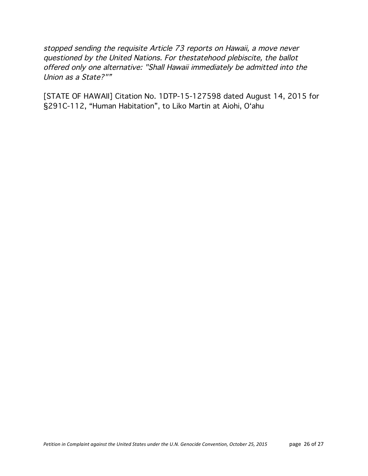stopped sending the requisite Article 73 reports on Hawaii, a move never questioned by the United Nations. For thestatehood plebiscite, the ballot offered only one alternative: "Shall Hawaii immediately be admitted into the Union as a State?""

[STATE OF HAWAII] Citation No. 1DTP-15-127598 dated August 14, 2015 for §291C-112, "Human Habitation", to Liko Martin at Aiohi, Oʻahu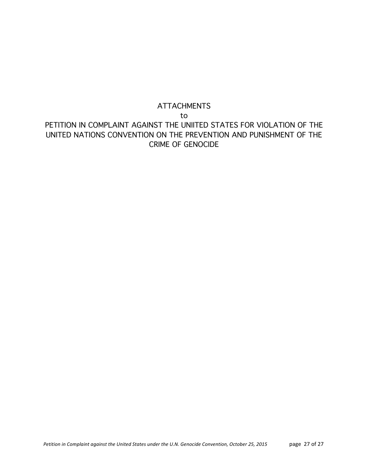# ATTACHMENTS to PETITION IN COMPLAINT AGAINST THE UNIITED STATES FOR VIOLATION OF THE UNITED NATIONS CONVENTION ON THE PREVENTION AND PUNISHMENT OF THE CRIME OF GENOCIDE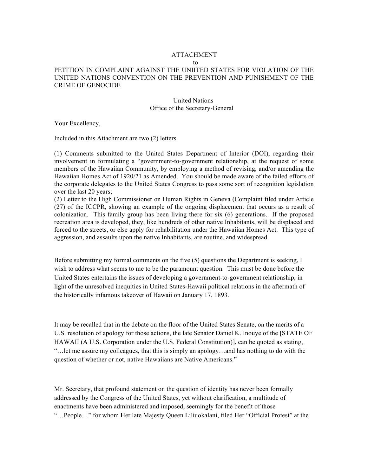### ATTACHMENT

### to

### PETITION IN COMPLAINT AGAINST THE UNIITED STATES FOR VIOLATION OF THE UNITED NATIONS CONVENTION ON THE PREVENTION AND PUNISHMENT OF THE CRIME OF GENOCIDE

#### United Nations Office of the Secretary-General

Your Excellency,

Included in this Attachment are two (2) letters.

(1) Comments submitted to the United States Department of Interior (DOI), regarding their involvement in formulating a "government-to-government relationship, at the request of some members of the Hawaiian Community, by employing a method of revising, and/or amending the Hawaiian Homes Act of 1920/21 as Amended. You should be made aware of the failed efforts of the corporate delegates to the United States Congress to pass some sort of recognition legislation over the last 20 years;

(2) Letter to the High Commissioner on Human Rights in Geneva (Complaint filed under Article (27) of the ICCPR, showing an example of the ongoing displacement that occurs as a result of colonization. This family group has been living there for six (6) generations. If the proposed recreation area is developed, they, like hundreds of other native Inhabitants, will be displaced and forced to the streets, or else apply for rehabilitation under the Hawaiian Homes Act. This type of aggression, and assaults upon the native Inhabitants, are routine, and widespread.

Before submitting my formal comments on the five (5) questions the Department is seeking, I wish to address what seems to me to be the paramount question. This must be done before the United States entertains the issues of developing a government-to-government relationship, in light of the unresolved inequities in United States-Hawaii political relations in the aftermath of the historically infamous takeover of Hawaii on January 17, 1893.

It may be recalled that in the debate on the floor of the United States Senate, on the merits of a U.S. resolution of apology for those actions, the late Senator Daniel K. Inouye of the [STATE OF HAWAII (A U.S. Corporation under the U.S. Federal Constitution)], can be quoted as stating, "…let me assure my colleagues, that this is simply an apology…and has nothing to do with the question of whether or not, native Hawaiians are Native Americans."

Mr. Secretary, that profound statement on the question of identity has never been formally addressed by the Congress of the United States, yet without clarification, a multitude of enactments have been administered and imposed, seemingly for the benefit of those "…People…" for whom Her late Majesty Queen Liliuokalani, filed Her "Official Protest" at the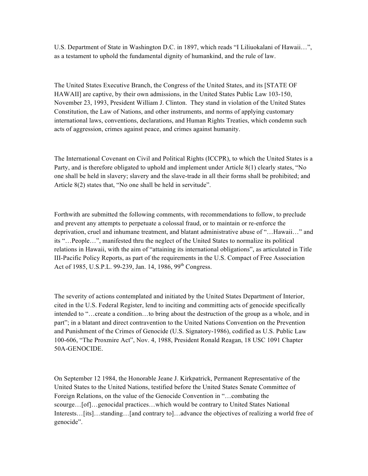U.S. Department of State in Washington D.C. in 1897, which reads "I Liliuokalani of Hawaii…", as a testament to uphold the fundamental dignity of humankind, and the rule of law.

The United States Executive Branch, the Congress of the United States, and its [STATE OF HAWAII] are captive, by their own admissions, in the United States Public Law 103-150, November 23, 1993, President William J. Clinton. They stand in violation of the United States Constitution, the Law of Nations, and other instruments, and norms of applying customary international laws, conventions, declarations, and Human Rights Treaties, which condemn such acts of aggression, crimes against peace, and crimes against humanity.

The International Covenant on Civil and Political Rights (ICCPR), to which the United States is a Party, and is therefore obligated to uphold and implement under Article 8(1) clearly states, "No one shall be held in slavery; slavery and the slave-trade in all their forms shall be prohibited; and Article 8(2) states that, "No one shall be held in servitude".

Forthwith are submitted the following comments, with recommendations to follow, to preclude and prevent any attempts to perpetuate a colossal fraud, or to maintain or re-enforce the deprivation, cruel and inhumane treatment, and blatant administrative abuse of "…Hawaii…" and its "…People…", manifested thru the neglect of the United States to normalize its political relations in Hawaii, with the aim of "attaining its international obligations", as articulated in Title III-Pacific Policy Reports, as part of the requirements in the U.S. Compact of Free Association Act of 1985, U.S.P.L. 99-239, Jan. 14, 1986, 99<sup>th</sup> Congress.

The severity of actions contemplated and initiated by the United States Department of Interior, cited in the U.S. Federal Register, lend to inciting and committing acts of genocide specifically intended to "…create a condition…to bring about the destruction of the group as a whole, and in part"; in a blatant and direct contravention to the United Nations Convention on the Prevention and Punishment of the Crimes of Genocide (U.S. Signatory-1986), codified as U.S. Public Law 100-606, "The Proxmire Act", Nov. 4, 1988, President Ronald Reagan, 18 USC 1091 Chapter 50A-GENOCIDE.

On September 12 1984, the Honorable Jeane J. Kirkpatrick, Permanent Representative of the United States to the United Nations, testified before the United States Senate Committee of Foreign Relations, on the value of the Genocide Convention in "…combating the scourge…[of]…genocidal practices…which would be contrary to United States National Interests…[its]…standing…[and contrary to]…advance the objectives of realizing a world free of genocide".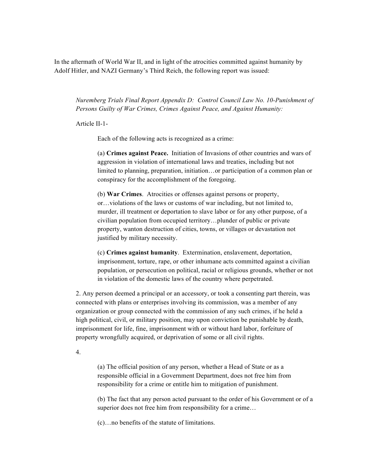In the aftermath of World War II, and in light of the atrocities committed against humanity by Adolf Hitler, and NAZI Germany's Third Reich, the following report was issued:

*Nuremberg Trials Final Report Appendix D: Control Council Law No. 10-Punishment of Persons Guilty of War Crimes, Crimes Against Peace, and Against Humanity:* 

Article II-1-

Each of the following acts is recognized as a crime:

(a) **Crimes against Peace.** Initiation of Invasions of other countries and wars of aggression in violation of international laws and treaties, including but not limited to planning, preparation, initiation…or participation of a common plan or conspiracy for the accomplishment of the foregoing.

(b) **War Crimes**. Atrocities or offenses against persons or property, or…violations of the laws or customs of war including, but not limited to, murder, ill treatment or deportation to slave labor or for any other purpose, of a civilian population from occupied territory…plunder of public or private property, wanton destruction of cities, towns, or villages or devastation not justified by military necessity.

(c) **Crimes against humanity**. Extermination, enslavement, deportation, imprisonment, torture, rape, or other inhumane acts committed against a civilian population, or persecution on political, racial or religious grounds, whether or not in violation of the domestic laws of the country where perpetrated.

2. Any person deemed a principal or an accessory, or took a consenting part therein, was connected with plans or enterprises involving its commission, was a member of any organization or group connected with the commission of any such crimes, if he held a high political, civil, or military position, may upon conviction be punishable by death, imprisonment for life, fine, imprisonment with or without hard labor, forfeiture of property wrongfully acquired, or deprivation of some or all civil rights.

4.

(a) The official position of any person, whether a Head of State or as a responsible official in a Government Department, does not free him from responsibility for a crime or entitle him to mitigation of punishment.

(b) The fact that any person acted pursuant to the order of his Government or of a superior does not free him from responsibility for a crime...

(c)…no benefits of the statute of limitations.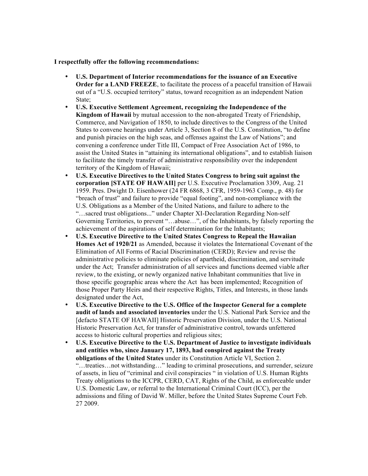**I respectfully offer the following recommendations:**

- **U.S. Department of Interior recommendations for the issuance of an Executive Order for a LAND FREEZE**, to facilitate the process of a peaceful transition of Hawaii out of a "U.S. occupied territory" status, toward recognition as an independent Nation State;
- **U.S. Executive Settlement Agreement, recognizing the Independence of the Kingdom of Hawaii** by mutual accession to the non-abrogated Treaty of Friendship, Commerce, and Navigation of 1850, to include directives to the Congress of the United States to convene hearings under Article 3, Section 8 of the U.S. Constitution, "to define and punish piracies on the high seas, and offenses against the Law of Nations"; and convening a conference under Title III, Compact of Free Association Act of 1986, to assist the United States in "attaining its international obligations", and to establish liaison to facilitate the timely transfer of administrative responsibility over the independent territory of the Kingdom of Hawaii;
- **U.S. Executive Directives to the United States Congress to bring suit against the corporation [STATE OF HAWAII]** per U.S. Executive Proclamation 3309, Aug. 21 1959. Pres. Dwight D. Eisenhower (24 FR 6868, 3 CFR, 1959-1963 Comp., p. 48) for "breach of trust" and failure to provide "equal footing", and non-compliance with the U.S. Obligations as a Member of the United Nations, and failure to adhere to the "…sacred trust obligations..." under Chapter XI-Declaration Regarding Non-self Governing Territories, to prevent "…abuse…", of the Inhabitants, by falsely reporting the achievement of the aspirations of self determination for the Inhabitants;
- **U.S. Executive Directive to the United States Congress to Repeal the Hawaiian Homes Act of 1920/21** as Amended, because it violates the International Covenant of the Elimination of All Forms of Racial Discrimination (CERD); Review and revise the administrative policies to eliminate policies of apartheid, discrimination, and servitude under the Act; Transfer administration of all services and functions deemed viable after review, to the existing, or newly organized native Inhabitant communities that live in those specific geographic areas where the Act has been implemented; Recognition of those Proper Party Heirs and their respective Rights, Titles, and Interests, in those lands designated under the Act,
- **U.S. Executive Directive to the U.S. Office of the Inspector General for a complete audit of lands and associated inventories** under the U.S. National Park Service and the [defacto STATE OF HAWAII] Historic Preservation Division, under the U.S. National Historic Preservation Act, for transfer of administrative control, towards unfettered access to historic cultural properties and religious sites;
- **U.S. Executive Directive to the U.S. Department of Justice to investigate individuals and entities who, since January 17, 1893, had conspired against the Treaty obligations of the United States** under its Constitution Article VI, Section 2. "…treaties…not withstanding…" leading to criminal prosecutions, and surrender, seizure of assets, in lieu of "criminal and civil conspiracies " in violation of U.S. Human Rights Treaty obligations to the ICCPR, CERD, CAT, Rights of the Child, as enforceable under U.S. Domestic Law, or referral to the International Criminal Court (ICC), per the admissions and filing of David W. Miller, before the United States Supreme Court Feb. 27 2009.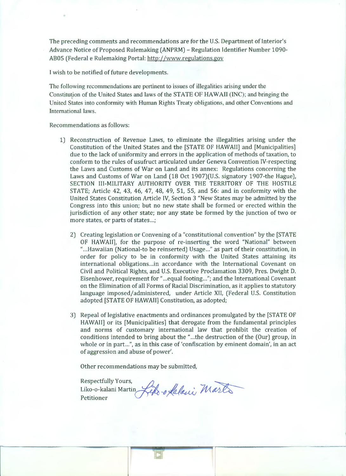The preceding comments and recommendations are for the U.S. Department of Interior's Advance Notice of Proposed Rulemaking (ANPRM) -Regulation Identifier Number 1090- AB05 (Federal e Rulemaking Portal: http: //www.regulations.gov

I wish to be notified of future developments.

The following recommendations are pertinent to issues of illegalities arising under the Constitution of the United States and laws of the STATE OF HAW All (INC); and bringing the United States into conformity with Human Rights Treaty obligations, and other Conventions and International laws.

Recommendations as follows:

•

- 1) Reconstruction of Revenue Laws, to eliminate the illegalities arising under the Constitution of the United States and the [STATE OF HAWAII] and [Municipalities] due to the lack of uniformity and errors in the application of methods of taxation, to conform to the rules of usufruct articulated under Geneva Convention IV-respecting the Laws and Customs of War on Land and its annex: Regulations concerning the Laws and Customs of War on Land (18 Oct 1907)(U.S. signatory 1907-the Hague), SECTION III-MILITARY AUTHORITY OVER THE TERRITORY OF THE HOSTILE STATE; Article 42, 43, 46, 47, 48, 49, 51, 55, and 56: and in conformity with the United States Constitution Article IV, Section 3 "New States may be admitted by the Congress into this union; but no new state shall be formed or erected within the jurisdiction of any other state; nor any state be formed by the junction of two or more states, or parts of states...;
	- 2) Creating legislation or Convening of a "constitutional convention" by the [STATE OF HAWAII], for the purpose of re-inserting the word "National" between "... Hawaiian (National-to be reinserted) Usage..." as part of their constitution, in order for policy to be in conformity with the United States attaining its international obligations...in accordance with the International Covenant on Civil and Political Rights, and U.S. Executive Proclamation 3309, Pres. Dwight D. Eisenhower, requirement for" ... equal footing ... "; and the International Covenant on the Elimination of all Forms of Racial Discrimination, as it applies to statutory language imposed/administered, under Article XII, (Federal U.S. Constitution adopted [STATE OF HAWAII] Constitution, as adopted;
	- 3) Repeal oflegislative enactments and ordinances promulgated by the [STATE OF HAWAII] or its [Municipalities] that derogate from the fundamental principles and norms of customary international law that prohibit the creation of conditions intended to bring about the " ... the destruction of the (Our) group, in whole or in part...", as in this case of 'confiscation by eminent domain', in an act of aggression and abuse of power'.

Other recommendations may be submitted,

Other recommendations may be<br>Respectfully Yours,<br>Like e kalani Martin Liko-o-kalani Martin *Leho-o Lalaui* Petitioner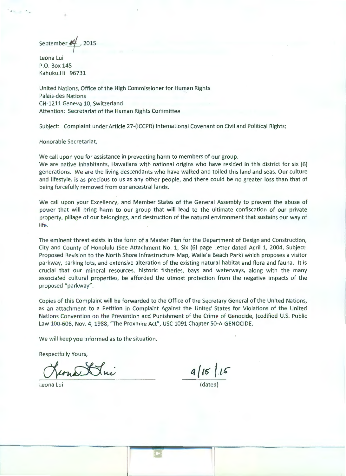September $+4$  . 2015

•

Leona Lui P.O. Box 145 Kahuku.Hi 96731

United Nations, Office of the High Commissioner for Human Rights Palais-des Nations CH-1211 Geneva 10, Switzerland Attention: Secretariat of the Human Rights Committee

Subject: Complaint under Article 27-(ICCPR) International Covenant on Civil and Political Rights;

Honorable Secretariat,

We call upon you for assistance in preventing harm to members of our group.

We are native Inhabitants, Hawaiians with national origins who have resided in this district for six (6) generations. We are the living descendants who have walked and toiled this land and seas. Our culture and lifestyle, is as precious to us as any other people, and there could be no greater loss than that of being forcefully removed from our ancestral lands.

We call upon your Excellency, and Member States of the General Assembly to prevent the abuse of power that will bring harm to our group that will lead to the ultimate confiscation of our private property, pillage of our belongings, and destruction of the natural environment that sustains our way of life.

The eminent threat exists in the form of a Master Plan for the Department of Design and Construction, City and County of Honolulu (See Attachment No. 1, Six {6) page Letter dated April 1, 2004, Subject: Proposed Revision to the North Shore Infrastructure Map, Waile'e Beach Park) which proposes a visitor parkway, parking lots, and extensive alteration of the existing natural habitat and flora and fauna. It is crucial that our mineral resources, historic fisheries, bays and waterways, along with the many associated cultural properties, be afforded the utmost protection from the negative impacts of the proposed "parkway".

Copies of this Complaint will be forwarded to the Office of the Secretary General of the United Nations, as an attachment to a Petition in Complaint Against the United States for Violations of the United Nations Convention on the Prevention and Punishment of the Crime of Genocide, (codified U.S. Public Law 100-606, Nov. 4, 1988, "The Proxmire Act", USC 1091 Chapter 50-A-GENOCIDE.

We will keep you informed as to the situation.

Respectfully Yours,

condition

Leona Lui (dated)

 $a|15|15$